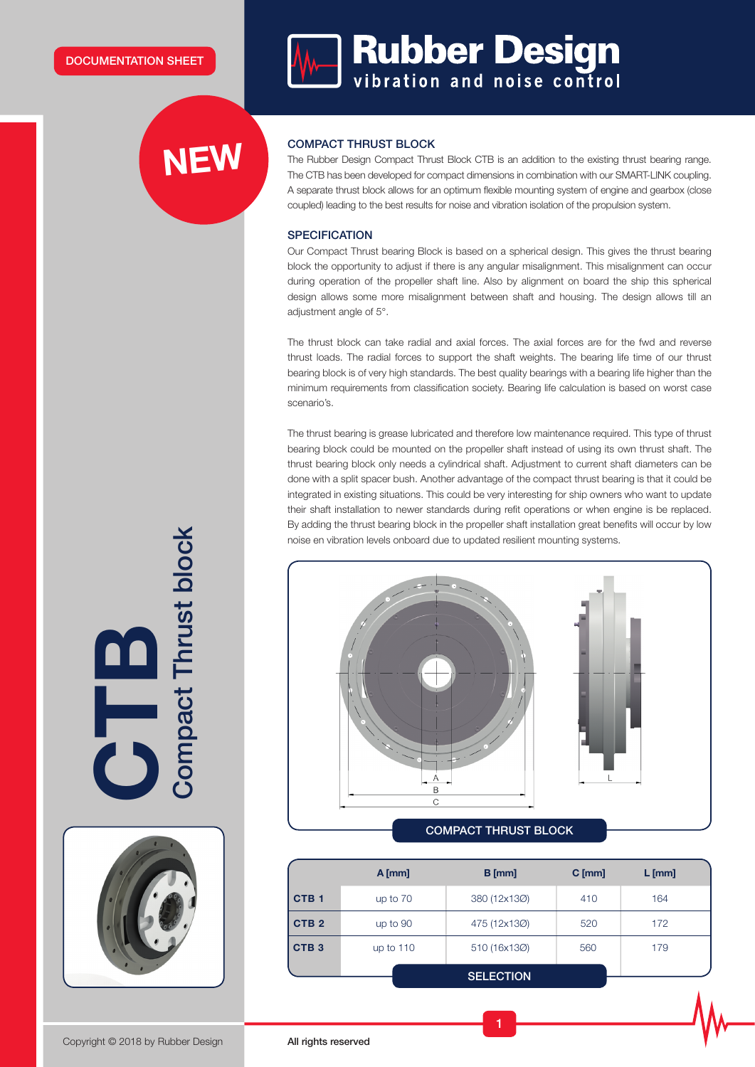# **NEW**

**Manual Bubber Design** 

## COMPACT THRUST BLOCK

The Rubber Design Compact Thrust Block CTB is an addition to the existing thrust bearing range. The CTB has been developed for compact dimensions in combination with our SMART-LINK coupling. A separate thrust block allows for an optimum flexible mounting system of engine and gearbox (close coupled) leading to the best results for noise and vibration isolation of the propulsion system.

#### **SPECIFICATION**

Our Compact Thrust bearing Block is based on a spherical design. This gives the thrust bearing block the opportunity to adjust if there is any angular misalignment. This misalignment can occur during operation of the propeller shaft line. Also by alignment on board the ship this spherical design allows some more misalignment between shaft and housing. The design allows till an adjustment angle of 5°.

The thrust block can take radial and axial forces. The axial forces are for the fwd and reverse thrust loads. The radial forces to support the shaft weights. The bearing life time of our thrust bearing block is of very high standards. The best quality bearings with a bearing life higher than the minimum requirements from classification society. Bearing life calculation is based on worst case scenario's.

The thrust bearing is grease lubricated and therefore low maintenance required. This type of thrust bearing block could be mounted on the propeller shaft instead of using its own thrust shaft. The thrust bearing block only needs a cylindrical shaft. Adjustment to current shaft diameters can be done with a split spacer bush. Another advantage of the compact thrust bearing is that it could be integrated in existing situations. This could be very interesting for ship owners who want to update their shaft installation to newer standards during refit operations or when engine is be replaced. By adding the thrust bearing block in the propeller shaft installation great benefits will occur by low noise en vibration levels onboard due to updated resilient mounting systems.



|                  | $A$ [mm]    | $B$ [mm]         | $C$ [mm] | $L$ [mm] |  |
|------------------|-------------|------------------|----------|----------|--|
| CTB <sub>1</sub> | up to $70$  | 380 (12x13Ø)     | 410      | 164      |  |
| CTB <sub>2</sub> | up to 90    | 475 (12x130)     | 520      | 172      |  |
| CTB <sub>3</sub> | up to $110$ | 510 (16x13Ø)     | 560      | 179      |  |
|                  |             | <b>SELECTION</b> |          |          |  |

1

**Compact Thrust block** Compact Thrust block F<br>O



Copyright © 2018 by Rubber Design All rights reserved